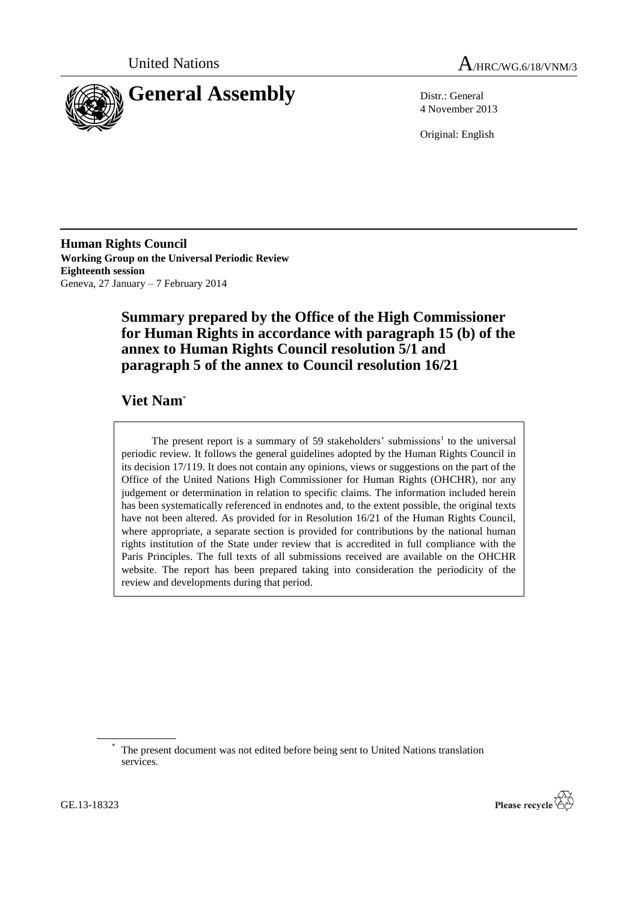



4 November 2013

Original: English

**Human Rights Council Working Group on the Universal Periodic Review Eighteenth session** Geneva, 27 January – 7 February 2014

# **Summary prepared by the Office of the High Commissioner for Human Rights in accordance with paragraph 15 (b) of the annex to Human Rights Council resolution 5/1 and paragraph 5 of the annex to Council resolution 16/21**

# **Viet Nam**\*

The present report is a summary of 59 stakeholders' submissions<sup>1</sup> to the universal periodic review. It follows the general guidelines adopted by the Human Rights Council in its decision 17/119. It does not contain any opinions, views or suggestions on the part of the Office of the United Nations High Commissioner for Human Rights (OHCHR), nor any judgement or determination in relation to specific claims. The information included herein has been systematically referenced in endnotes and, to the extent possible, the original texts have not been altered. As provided for in Resolution 16/21 of the Human Rights Council, where appropriate, a separate section is provided for contributions by the national human rights institution of the State under review that is accredited in full compliance with the Paris Principles. The full texts of all submissions received are available on the OHCHR website. The report has been prepared taking into consideration the periodicity of the review and developments during that period.



The present document was not edited before being sent to United Nations translation services.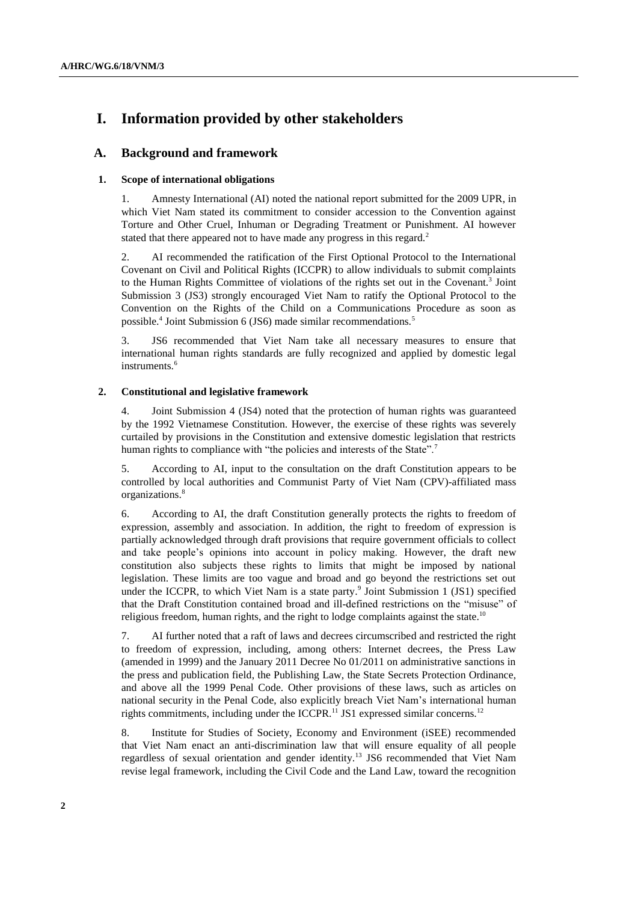# **I. Information provided by other stakeholders**

# **A. Background and framework**

#### **1. Scope of international obligations**

1. Amnesty International (AI) noted the national report submitted for the 2009 UPR, in which Viet Nam stated its commitment to consider accession to the Convention against Torture and Other Cruel, Inhuman or Degrading Treatment or Punishment. AI however stated that there appeared not to have made any progress in this regard.<sup>2</sup>

2. AI recommended the ratification of the First Optional Protocol to the International Covenant on Civil and Political Rights (ICCPR) to allow individuals to submit complaints to the Human Rights Committee of violations of the rights set out in the Covenant.<sup>3</sup> Joint Submission 3 (JS3) strongly encouraged Viet Nam to ratify the Optional Protocol to the Convention on the Rights of the Child on a Communications Procedure as soon as possible.<sup>4</sup> Joint Submission 6 (JS6) made similar recommendations.<sup>5</sup>

3. JS6 recommended that Viet Nam take all necessary measures to ensure that international human rights standards are fully recognized and applied by domestic legal instruments.<sup>6</sup>

# **2. Constitutional and legislative framework**

4. Joint Submission 4 (JS4) noted that the protection of human rights was guaranteed by the 1992 Vietnamese Constitution. However, the exercise of these rights was severely curtailed by provisions in the Constitution and extensive domestic legislation that restricts human rights to compliance with "the policies and interests of the State".<sup>7</sup>

5. According to AI, input to the consultation on the draft Constitution appears to be controlled by local authorities and Communist Party of Viet Nam (CPV)-affiliated mass organizations.<sup>8</sup>

6. According to AI, the draft Constitution generally protects the rights to freedom of expression, assembly and association. In addition, the right to freedom of expression is partially acknowledged through draft provisions that require government officials to collect and take people's opinions into account in policy making. However, the draft new constitution also subjects these rights to limits that might be imposed by national legislation. These limits are too vague and broad and go beyond the restrictions set out under the ICCPR, to which Viet Nam is a state party.<sup>9</sup> Joint Submission 1 (JS1) specified that the Draft Constitution contained broad and ill-defined restrictions on the "misuse" of religious freedom, human rights, and the right to lodge complaints against the state.<sup>10</sup>

7. AI further noted that a raft of laws and decrees circumscribed and restricted the right to freedom of expression, including, among others: Internet decrees, the Press Law (amended in 1999) and the January 2011 Decree No 01/2011 on administrative sanctions in the press and publication field, the Publishing Law, the State Secrets Protection Ordinance, and above all the 1999 Penal Code. Other provisions of these laws, such as articles on national security in the Penal Code, also explicitly breach Viet Nam's international human rights commitments, including under the ICCPR.<sup>11</sup> JS1 expressed similar concerns.<sup>12</sup>

8. Institute for Studies of Society, Economy and Environment (iSEE) recommended that Viet Nam enact an anti-discrimination law that will ensure equality of all people regardless of sexual orientation and gender identity.<sup>13</sup> JS6 recommended that Viet Nam revise legal framework, including the Civil Code and the Land Law, toward the recognition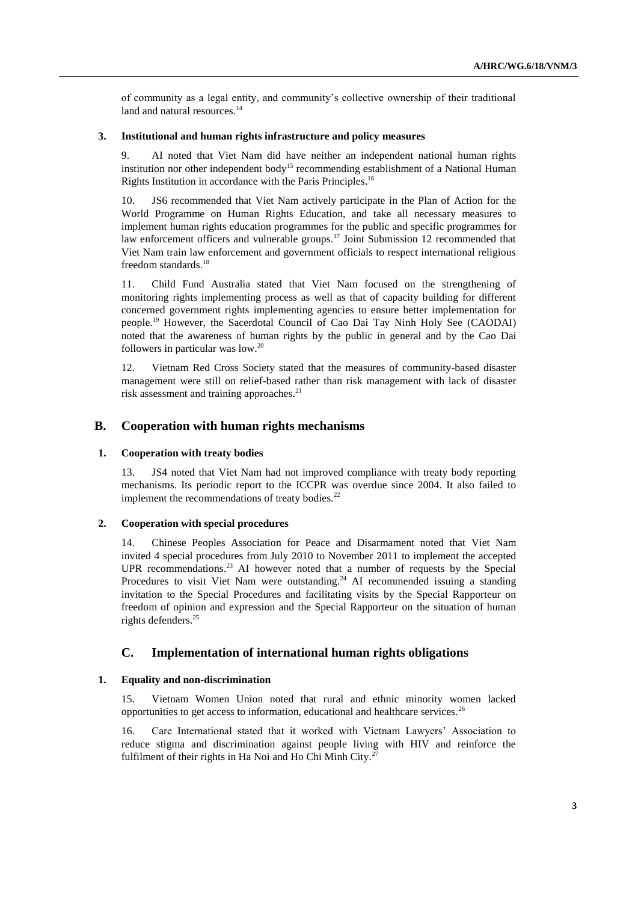of community as a legal entity, and community's collective ownership of their traditional land and natural resources.<sup>14</sup>

# **3. Institutional and human rights infrastructure and policy measures**

9. AI noted that Viet Nam did have neither an independent national human rights institution nor other independent body<sup>15</sup> recommending establishment of a National Human Rights Institution in accordance with the Paris Principles.<sup>16</sup>

10. JS6 recommended that Viet Nam actively participate in the Plan of Action for the World Programme on Human Rights Education, and take all necessary measures to implement human rights education programmes for the public and specific programmes for law enforcement officers and vulnerable groups.<sup>17</sup> Joint Submission 12 recommended that Viet Nam train law enforcement and government officials to respect international religious freedom standards.<sup>18</sup>

11. Child Fund Australia stated that Viet Nam focused on the strengthening of monitoring rights implementing process as well as that of capacity building for different concerned government rights implementing agencies to ensure better implementation for people.<sup>19</sup> However, the Sacerdotal Council of Cao Dai Tay Ninh Holy See (CAODAI) noted that the awareness of human rights by the public in general and by the Cao Dai followers in particular was low.<sup>20</sup>

12. Vietnam Red Cross Society stated that the measures of community-based disaster management were still on relief-based rather than risk management with lack of disaster risk assessment and training approaches.<sup>21</sup>

# **B. Cooperation with human rights mechanisms**

### **1. Cooperation with treaty bodies**

13. JS4 noted that Viet Nam had not improved compliance with treaty body reporting mechanisms. Its periodic report to the ICCPR was overdue since 2004. It also failed to implement the recommendations of treaty bodies. $^{22}$ 

# **2. Cooperation with special procedures**

14. Chinese Peoples Association for Peace and Disarmament noted that Viet Nam invited 4 special procedures from July 2010 to November 2011 to implement the accepted UPR recommendations.<sup>23</sup> AI however noted that a number of requests by the Special Procedures to visit Viet Nam were outstanding.<sup>24</sup> AI recommended issuing a standing invitation to the Special Procedures and facilitating visits by the Special Rapporteur on freedom of opinion and expression and the Special Rapporteur on the situation of human rights defenders. 25

# **C. Implementation of international human rights obligations**

# **1. Equality and non-discrimination**

15. Vietnam Women Union noted that rural and ethnic minority women lacked opportunities to get access to information, educational and healthcare services.<sup>26</sup>

16. Care International stated that it worked with Vietnam Lawyers' Association to reduce stigma and discrimination against people living with HIV and reinforce the fulfilment of their rights in Ha Noi and Ho Chi Minh City.<sup>2</sup>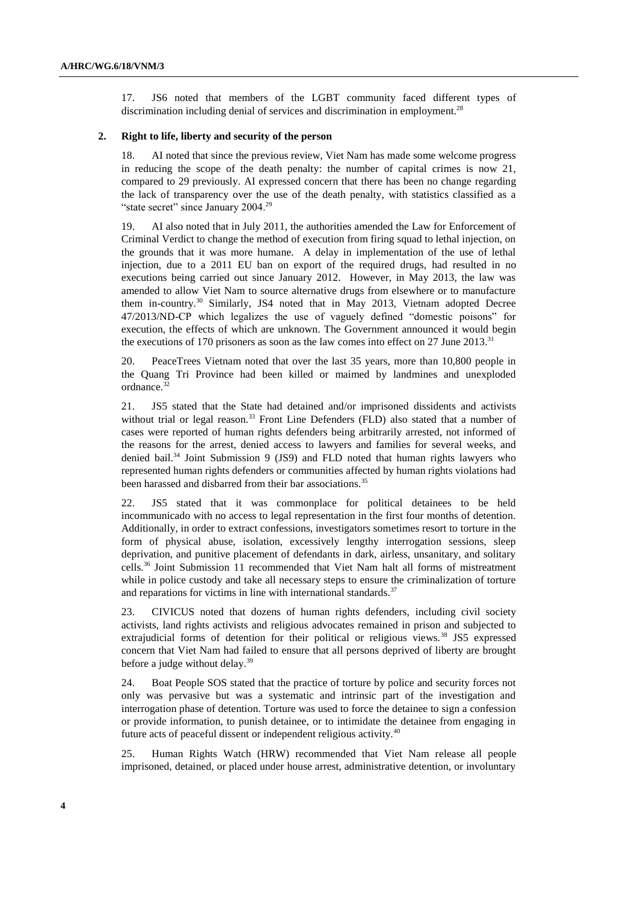17. JS6 noted that members of the LGBT community faced different types of discrimination including denial of services and discrimination in employment.<sup>28</sup>

# **2. Right to life, liberty and security of the person**

18. AI noted that since the previous review, Viet Nam has made some welcome progress in reducing the scope of the death penalty: the number of capital crimes is now 21, compared to 29 previously. AI expressed concern that there has been no change regarding the lack of transparency over the use of the death penalty, with statistics classified as a "state secret" since January  $2004.<sup>29</sup>$ 

19. AI also noted that in July 2011, the authorities amended the Law for Enforcement of Criminal Verdict to change the method of execution from firing squad to lethal injection, on the grounds that it was more humane. A delay in implementation of the use of lethal injection, due to a 2011 EU ban on export of the required drugs, had resulted in no executions being carried out since January 2012. However, in May 2013, the law was amended to allow Viet Nam to source alternative drugs from elsewhere or to manufacture them in-country.<sup>30</sup> Similarly, JS4 noted that in May 2013, Vietnam adopted Decree 47/2013/ND-CP which legalizes the use of vaguely defined "domestic poisons" for execution, the effects of which are unknown. The Government announced it would begin the executions of 170 prisoners as soon as the law comes into effect on 27 June 2013. $31$ 

20. PeaceTrees Vietnam noted that over the last 35 years, more than 10,800 people in the Quang Tri Province had been killed or maimed by landmines and unexploded ordnance.<sup>32</sup>

21. JS5 stated that the State had detained and/or imprisoned dissidents and activists without trial or legal reason.<sup>33</sup> Front Line Defenders (FLD) also stated that a number of cases were reported of human rights defenders being arbitrarily arrested, not informed of the reasons for the arrest, denied access to lawyers and families for several weeks, and denied bail.<sup>34</sup> Joint Submission 9 (JS9) and FLD noted that human rights lawyers who represented human rights defenders or communities affected by human rights violations had been harassed and disbarred from their bar associations.<sup>35</sup>

22. JS5 stated that it was commonplace for political detainees to be held incommunicado with no access to legal representation in the first four months of detention. Additionally, in order to extract confessions, investigators sometimes resort to torture in the form of physical abuse, isolation, excessively lengthy interrogation sessions, sleep deprivation, and punitive placement of defendants in dark, airless, unsanitary, and solitary cells.<sup>36</sup> Joint Submission 11 recommended that Viet Nam halt all forms of mistreatment while in police custody and take all necessary steps to ensure the criminalization of torture and reparations for victims in line with international standards. $37$ 

23. CIVICUS noted that dozens of human rights defenders, including civil society activists, land rights activists and religious advocates remained in prison and subjected to extrajudicial forms of detention for their political or religious views.<sup>38</sup> JS5 expressed concern that Viet Nam had failed to ensure that all persons deprived of liberty are brought before a judge without delay.<sup>39</sup>

24. Boat People SOS stated that the practice of torture by police and security forces not only was pervasive but was a systematic and intrinsic part of the investigation and interrogation phase of detention. Torture was used to force the detainee to sign a confession or provide information, to punish detainee, or to intimidate the detainee from engaging in future acts of peaceful dissent or independent religious activity.<sup>40</sup>

25. Human Rights Watch (HRW) recommended that Viet Nam release all people imprisoned, detained, or placed under house arrest, administrative detention, or involuntary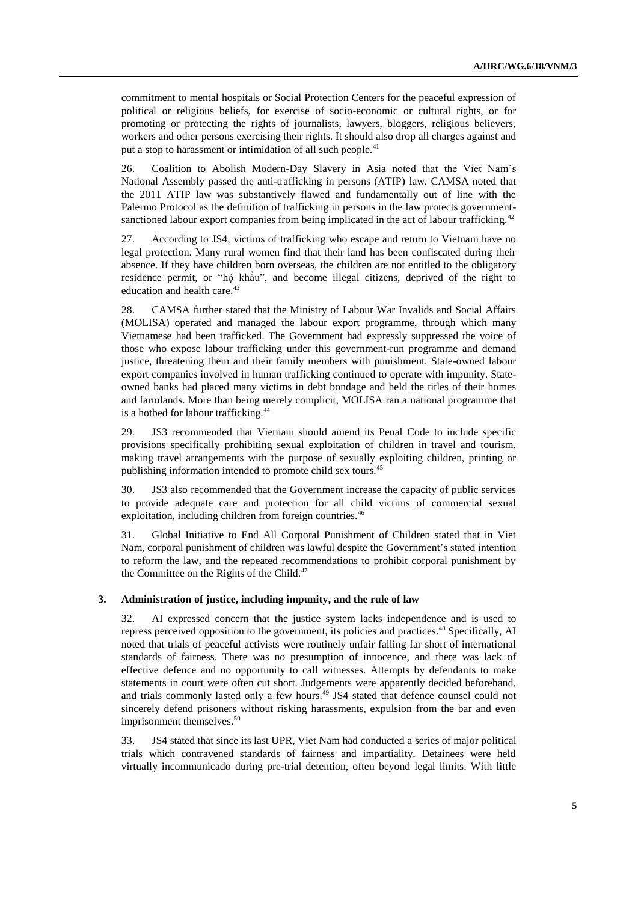commitment to mental hospitals or Social Protection Centers for the peaceful expression of political or religious beliefs, for exercise of socio-economic or cultural rights, or for promoting or protecting the rights of journalists, lawyers, bloggers, religious believers, workers and other persons exercising their rights. It should also drop all charges against and put a stop to harassment or intimidation of all such people.<sup>41</sup>

26. Coalition to Abolish Modern-Day Slavery in Asia noted that the Viet Nam's National Assembly passed the anti-trafficking in persons (ATIP) law. CAMSA noted that the 2011 ATIP law was substantively flawed and fundamentally out of line with the Palermo Protocol as the definition of trafficking in persons in the law protects governmentsanctioned labour export companies from being implicated in the act of labour trafficking.<sup>42</sup>

27. According to JS4, victims of trafficking who escape and return to Vietnam have no legal protection. Many rural women find that their land has been confiscated during their absence. If they have children born overseas, the children are not entitled to the obligatory residence permit, or "hộ khẩu", and become illegal citizens, deprived of the right to education and health care.<sup>43</sup>

28. CAMSA further stated that the Ministry of Labour War Invalids and Social Affairs (MOLISA) operated and managed the labour export programme, through which many Vietnamese had been trafficked. The Government had expressly suppressed the voice of those who expose labour trafficking under this government-run programme and demand justice, threatening them and their family members with punishment. State-owned labour export companies involved in human trafficking continued to operate with impunity. Stateowned banks had placed many victims in debt bondage and held the titles of their homes and farmlands. More than being merely complicit, MOLISA ran a national programme that is a hotbed for labour trafficking.<sup>44</sup>

29. JS3 recommended that Vietnam should amend its Penal Code to include specific provisions specifically prohibiting sexual exploitation of children in travel and tourism, making travel arrangements with the purpose of sexually exploiting children, printing or publishing information intended to promote child sex tours.<sup>45</sup>

30. JS3 also recommended that the Government increase the capacity of public services to provide adequate care and protection for all child victims of commercial sexual exploitation, including children from foreign countries.<sup>46</sup>

31. Global Initiative to End All Corporal Punishment of Children stated that in Viet Nam, corporal punishment of children was lawful despite the Government's stated intention to reform the law, and the repeated recommendations to prohibit corporal punishment by the Committee on the Rights of the Child. $47$ 

#### **3. Administration of justice, including impunity, and the rule of law**

32. AI expressed concern that the justice system lacks independence and is used to repress perceived opposition to the government, its policies and practices. <sup>48</sup> Specifically, AI noted that trials of peaceful activists were routinely unfair falling far short of international standards of fairness. There was no presumption of innocence, and there was lack of effective defence and no opportunity to call witnesses. Attempts by defendants to make statements in court were often cut short. Judgements were apparently decided beforehand, and trials commonly lasted only a few hours.<sup>49</sup> JS4 stated that defence counsel could not sincerely defend prisoners without risking harassments, expulsion from the bar and even imprisonment themselves.<sup>50</sup>

33. JS4 stated that since its last UPR, Viet Nam had conducted a series of major political trials which contravened standards of fairness and impartiality. Detainees were held virtually incommunicado during pre-trial detention, often beyond legal limits. With little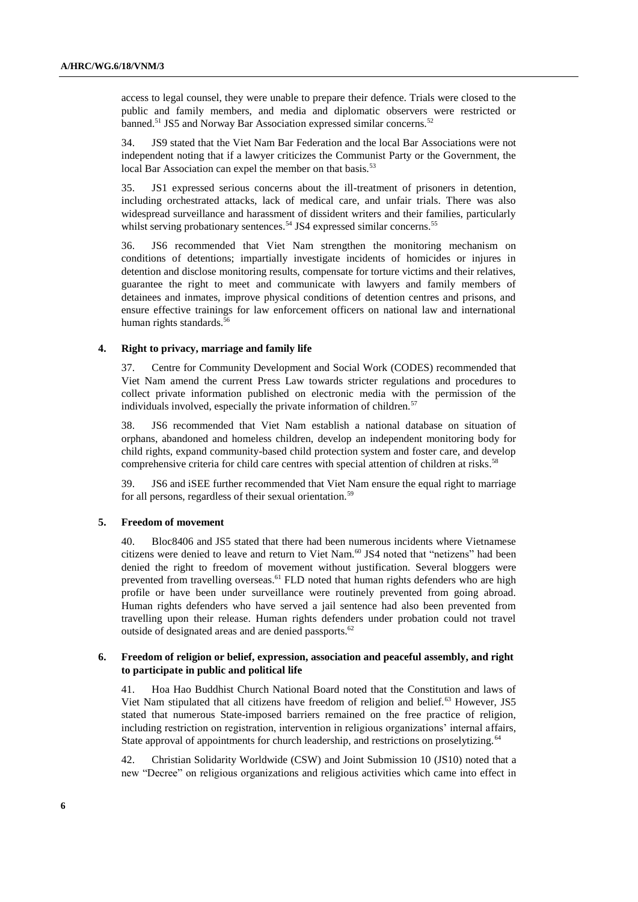access to legal counsel, they were unable to prepare their defence. Trials were closed to the public and family members, and media and diplomatic observers were restricted or banned.<sup>51</sup> JS5 and Norway Bar Association expressed similar concerns.<sup>52</sup>

34. JS9 stated that the Viet Nam Bar Federation and the local Bar Associations were not independent noting that if a lawyer criticizes the Communist Party or the Government, the local Bar Association can expel the member on that basis.<sup>53</sup>

35. JS1 expressed serious concerns about the ill-treatment of prisoners in detention, including orchestrated attacks, lack of medical care, and unfair trials. There was also widespread surveillance and harassment of dissident writers and their families, particularly whilst serving probationary sentences.<sup>54</sup> JS4 expressed similar concerns.<sup>55</sup>

36. JS6 recommended that Viet Nam strengthen the monitoring mechanism on conditions of detentions; impartially investigate incidents of homicides or injures in detention and disclose monitoring results, compensate for torture victims and their relatives, guarantee the right to meet and communicate with lawyers and family members of detainees and inmates, improve physical conditions of detention centres and prisons, and ensure effective trainings for law enforcement officers on national law and international human rights standards.<sup>56</sup>

### **4. Right to privacy, marriage and family life**

37. Centre for Community Development and Social Work (CODES) recommended that Viet Nam amend the current Press Law towards stricter regulations and procedures to collect private information published on electronic media with the permission of the individuals involved, especially the private information of children.<sup>57</sup>

38. JS6 recommended that Viet Nam establish a national database on situation of orphans, abandoned and homeless children, develop an independent monitoring body for child rights, expand community-based child protection system and foster care, and develop comprehensive criteria for child care centres with special attention of children at risks.<sup>58</sup>

39. JS6 and iSEE further recommended that Viet Nam ensure the equal right to marriage for all persons, regardless of their sexual orientation.<sup>59</sup>

## **5. Freedom of movement**

40. Bloc8406 and JS5 stated that there had been numerous incidents where Vietnamese citizens were denied to leave and return to Viet Nam.<sup>60</sup> JS4 noted that "netizens" had been denied the right to freedom of movement without justification. Several bloggers were prevented from travelling overseas.<sup>61</sup> FLD noted that human rights defenders who are high profile or have been under surveillance were routinely prevented from going abroad. Human rights defenders who have served a jail sentence had also been prevented from travelling upon their release. Human rights defenders under probation could not travel outside of designated areas and are denied passports.<sup>62</sup>

# **6. Freedom of religion or belief, expression, association and peaceful assembly, and right to participate in public and political life**

41. Hoa Hao Buddhist Church National Board noted that the Constitution and laws of Viet Nam stipulated that all citizens have freedom of religion and belief.<sup>63</sup> However, JS5 stated that numerous State-imposed barriers remained on the free practice of religion, including restriction on registration, intervention in religious organizations' internal affairs, State approval of appointments for church leadership, and restrictions on proselytizing.<sup>64</sup>

42. Christian Solidarity Worldwide (CSW) and Joint Submission 10 (JS10) noted that a new "Decree" on religious organizations and religious activities which came into effect in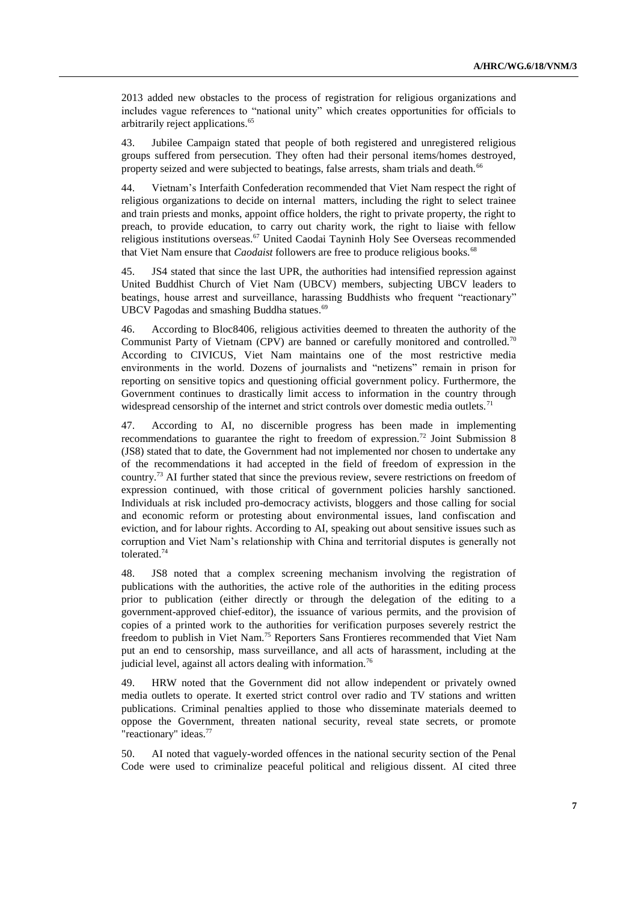2013 added new obstacles to the process of registration for religious organizations and includes vague references to "national unity" which creates opportunities for officials to arbitrarily reject applications.<sup>65</sup>

43. Jubilee Campaign stated that people of both registered and unregistered religious groups suffered from persecution. They often had their personal items/homes destroyed, property seized and were subjected to beatings, false arrests, sham trials and death.<sup>66</sup>

44. Vietnam's Interfaith Confederation recommended that Viet Nam respect the right of religious organizations to decide on internal matters, including the right to select trainee and train priests and monks, appoint office holders, the right to private property, the right to preach, to provide education, to carry out charity work, the right to liaise with fellow religious institutions overseas.<sup>67</sup> United Caodai Tayninh Holy See Overseas recommended that Viet Nam ensure that *Caodaist* followers are free to produce religious books.<sup>68</sup>

45. JS4 stated that since the last UPR, the authorities had intensified repression against United Buddhist Church of Viet Nam (UBCV) members, subjecting UBCV leaders to beatings, house arrest and surveillance, harassing Buddhists who frequent "reactionary" UBCV Pagodas and smashing Buddha statues. 69

46. According to Bloc8406, religious activities deemed to threaten the authority of the Communist Party of Vietnam (CPV) are banned or carefully monitored and controlled.<sup>70</sup> According to CIVICUS, Viet Nam maintains one of the most restrictive media environments in the world. Dozens of journalists and "netizens" remain in prison for reporting on sensitive topics and questioning official government policy. Furthermore, the Government continues to drastically limit access to information in the country through widespread censorship of the internet and strict controls over domestic media outlets.<sup>71</sup>

47. According to AI, no discernible progress has been made in implementing recommendations to guarantee the right to freedom of expression.<sup>72</sup> Joint Submission 8 (JS8) stated that to date, the Government had not implemented nor chosen to undertake any of the recommendations it had accepted in the field of freedom of expression in the country.<sup>73</sup> AI further stated that since the previous review, severe restrictions on freedom of expression continued, with those critical of government policies harshly sanctioned. Individuals at risk included pro-democracy activists, bloggers and those calling for social and economic reform or protesting about environmental issues, land confiscation and eviction, and for labour rights. According to AI, speaking out about sensitive issues such as corruption and Viet Nam's relationship with China and territorial disputes is generally not tolerated.<sup>74</sup>

48. JS8 noted that a complex screening mechanism involving the registration of publications with the authorities, the active role of the authorities in the editing process prior to publication (either directly or through the delegation of the editing to a government-approved chief-editor), the issuance of various permits, and the provision of copies of a printed work to the authorities for verification purposes severely restrict the freedom to publish in Viet Nam.<sup>75</sup> Reporters Sans Frontieres recommended that Viet Nam put an end to censorship, mass surveillance, and all acts of harassment, including at the judicial level, against all actors dealing with information.<sup>76</sup>

49. HRW noted that the Government did not allow independent or privately owned media outlets to operate. It exerted strict control over radio and TV stations and written publications. Criminal penalties applied to those who disseminate materials deemed to oppose the Government, threaten national security, reveal state secrets, or promote "reactionary" ideas.<sup>77</sup>

50. AI noted that vaguely-worded offences in the national security section of the Penal Code were used to criminalize peaceful political and religious dissent. AI cited three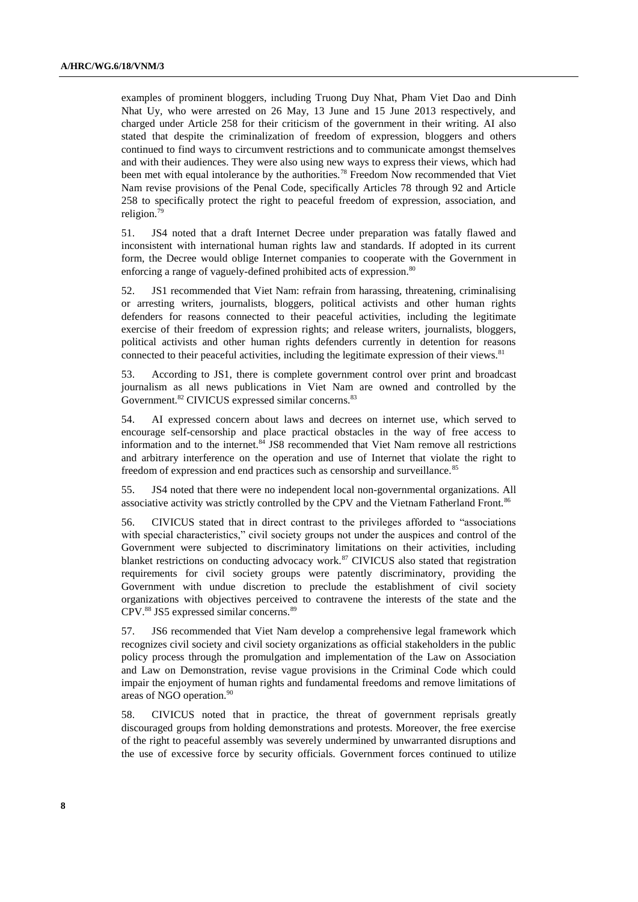examples of prominent bloggers, including Truong Duy Nhat, Pham Viet Dao and Dinh Nhat Uy, who were arrested on 26 May, 13 June and 15 June 2013 respectively, and charged under Article 258 for their criticism of the government in their writing. AI also stated that despite the criminalization of freedom of expression, bloggers and others continued to find ways to circumvent restrictions and to communicate amongst themselves and with their audiences. They were also using new ways to express their views, which had been met with equal intolerance by the authorities.<sup>78</sup> Freedom Now recommended that Viet Nam revise provisions of the Penal Code, specifically Articles 78 through 92 and Article 258 to specifically protect the right to peaceful freedom of expression, association, and religion.<sup>79</sup>

51. JS4 noted that a draft Internet Decree under preparation was fatally flawed and inconsistent with international human rights law and standards. If adopted in its current form, the Decree would oblige Internet companies to cooperate with the Government in enforcing a range of vaguely-defined prohibited acts of expression.<sup>80</sup>

52. JS1 recommended that Viet Nam: refrain from harassing, threatening, criminalising or arresting writers, journalists, bloggers, political activists and other human rights defenders for reasons connected to their peaceful activities, including the legitimate exercise of their freedom of expression rights; and release writers, journalists, bloggers, political activists and other human rights defenders currently in detention for reasons connected to their peaceful activities, including the legitimate expression of their views.<sup>81</sup>

53. According to JS1, there is complete government control over print and broadcast journalism as all news publications in Viet Nam are owned and controlled by the Government.<sup>82</sup> CIVICUS expressed similar concerns.<sup>83</sup>

54. AI expressed concern about laws and decrees on internet use, which served to encourage self-censorship and place practical obstacles in the way of free access to information and to the internet.<sup>84</sup> JS8 recommended that Viet Nam remove all restrictions and arbitrary interference on the operation and use of Internet that violate the right to freedom of expression and end practices such as censorship and surveillance.<sup>85</sup>

55. JS4 noted that there were no independent local non-governmental organizations. All associative activity was strictly controlled by the CPV and the Vietnam Fatherland Front.<sup>86</sup>

56. CIVICUS stated that in direct contrast to the privileges afforded to "associations with special characteristics," civil society groups not under the auspices and control of the Government were subjected to discriminatory limitations on their activities, including blanket restrictions on conducting advocacy work.<sup>87</sup> CIVICUS also stated that registration requirements for civil society groups were patently discriminatory, providing the Government with undue discretion to preclude the establishment of civil society organizations with objectives perceived to contravene the interests of the state and the CPV. <sup>88</sup> JS5 expressed similar concerns.<sup>89</sup>

57. JS6 recommended that Viet Nam develop a comprehensive legal framework which recognizes civil society and civil society organizations as official stakeholders in the public policy process through the promulgation and implementation of the Law on Association and Law on Demonstration, revise vague provisions in the Criminal Code which could impair the enjoyment of human rights and fundamental freedoms and remove limitations of areas of NGO operation.<sup>90</sup>

58. CIVICUS noted that in practice, the threat of government reprisals greatly discouraged groups from holding demonstrations and protests. Moreover, the free exercise of the right to peaceful assembly was severely undermined by unwarranted disruptions and the use of excessive force by security officials. Government forces continued to utilize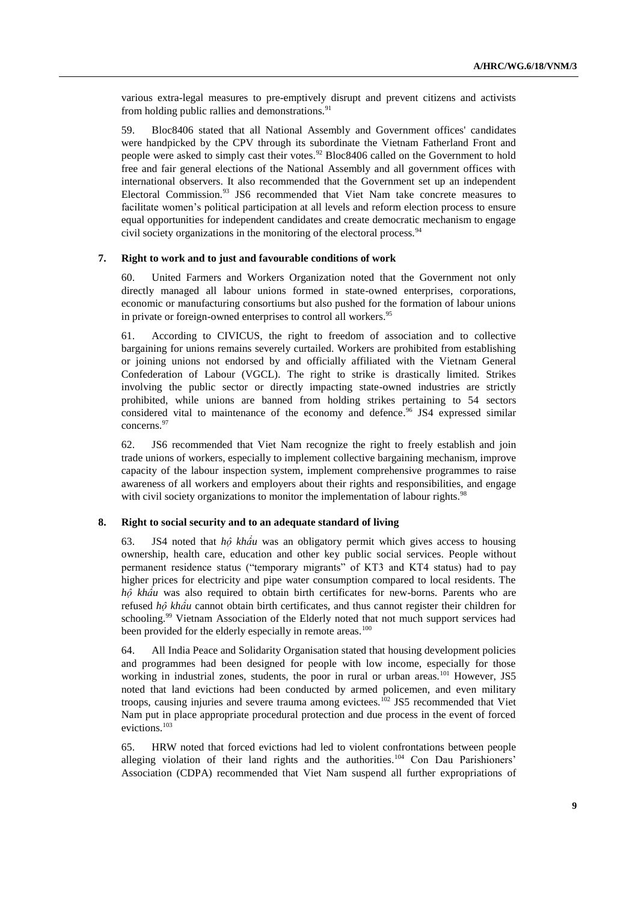various extra-legal measures to pre-emptively disrupt and prevent citizens and activists from holding public rallies and demonstrations. $91$ 

59. Bloc8406 stated that all National Assembly and Government offices' candidates were handpicked by the CPV through its subordinate the Vietnam Fatherland Front and people were asked to simply cast their votes.<sup>92</sup> Bloc8406 called on the Government to hold free and fair general elections of the National Assembly and all government offices with international observers. It also recommended that the Government set up an independent Electoral Commission.<sup>93</sup> JS6 recommended that Viet Nam take concrete measures to facilitate women's political participation at all levels and reform election process to ensure equal opportunities for independent candidates and create democratic mechanism to engage civil society organizations in the monitoring of the electoral process.<sup>94</sup>

#### **7. Right to work and to just and favourable conditions of work**

60. United Farmers and Workers Organization noted that the Government not only directly managed all labour unions formed in state-owned enterprises, corporations, economic or manufacturing consortiums but also pushed for the formation of labour unions in private or foreign-owned enterprises to control all workers.<sup>95</sup>

61. According to CIVICUS, the right to freedom of association and to collective bargaining for unions remains severely curtailed. Workers are prohibited from establishing or joining unions not endorsed by and officially affiliated with the Vietnam General Confederation of Labour (VGCL). The right to strike is drastically limited. Strikes involving the public sector or directly impacting state-owned industries are strictly prohibited, while unions are banned from holding strikes pertaining to 54 sectors considered vital to maintenance of the economy and defence. <sup>96</sup> JS4 expressed similar concerns.<sup>97</sup>

62. JS6 recommended that Viet Nam recognize the right to freely establish and join trade unions of workers, especially to implement collective bargaining mechanism, improve capacity of the labour inspection system, implement comprehensive programmes to raise awareness of all workers and employers about their rights and responsibilities, and engage with civil society organizations to monitor the implementation of labour rights.<sup>98</sup>

### **8. Right to social security and to an adequate standard of living**

63. JS4 noted that *hộ khẩu* was an obligatory permit which gives access to housing ownership, health care, education and other key public social services. People without permanent residence status ("temporary migrants" of KT3 and KT4 status) had to pay higher prices for electricity and pipe water consumption compared to local residents. The *hộ khẩu* was also required to obtain birth certificates for new-borns. Parents who are refused *hộ khẩu* cannot obtain birth certificates, and thus cannot register their children for schooling.<sup>99</sup> Vietnam Association of the Elderly noted that not much support services had been provided for the elderly especially in remote areas.<sup>100</sup>

64. All India Peace and Solidarity Organisation stated that housing development policies and programmes had been designed for people with low income, especially for those working in industrial zones, students, the poor in rural or urban areas.<sup>101</sup> However, JS5 noted that land evictions had been conducted by armed policemen, and even military troops, causing injuries and severe trauma among evictees.<sup>102</sup> JS5 recommended that Viet Nam put in place appropriate procedural protection and due process in the event of forced evictions.<sup>103</sup>

65. HRW noted that forced evictions had led to violent confrontations between people alleging violation of their land rights and the authorities.<sup>104</sup> Con Dau Parishioners' Association (CDPA) recommended that Viet Nam suspend all further expropriations of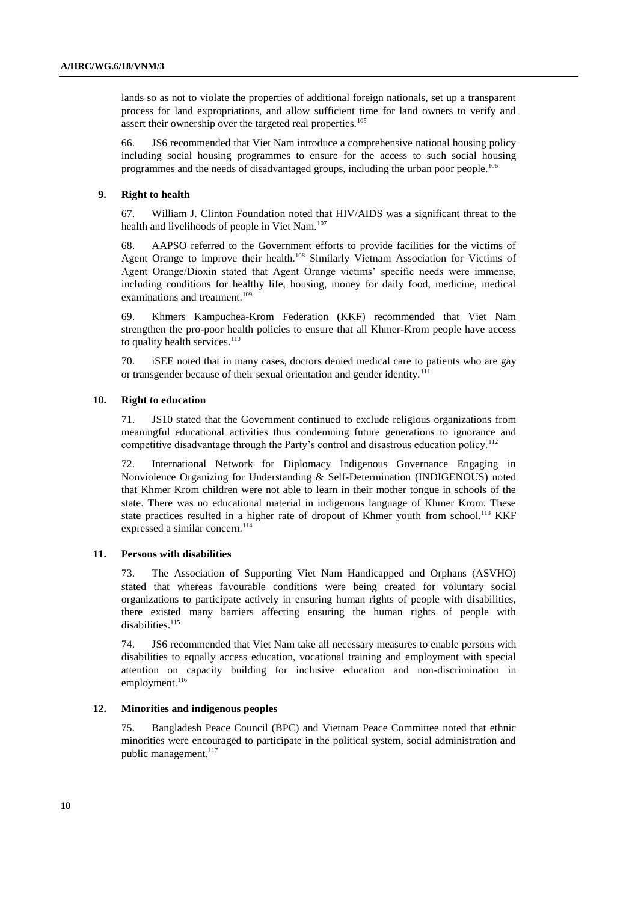lands so as not to violate the properties of additional foreign nationals, set up a transparent process for land expropriations, and allow sufficient time for land owners to verify and assert their ownership over the targeted real properties.<sup>105</sup>

66. JS6 recommended that Viet Nam introduce a comprehensive national housing policy including social housing programmes to ensure for the access to such social housing programmes and the needs of disadvantaged groups, including the urban poor people.<sup>106</sup>

### **9. Right to health**

67. William J. Clinton Foundation noted that HIV/AIDS was a significant threat to the health and livelihoods of people in Viet Nam.<sup>107</sup>

68. AAPSO referred to the Government efforts to provide facilities for the victims of Agent Orange to improve their health.<sup>108</sup> Similarly Vietnam Association for Victims of Agent Orange/Dioxin stated that Agent Orange victims' specific needs were immense, including conditions for healthy life, housing, money for daily food, medicine, medical examinations and treatment.<sup>109</sup>

69. Khmers Kampuchea-Krom Federation (KKF) recommended that Viet Nam strengthen the pro-poor health policies to ensure that all Khmer-Krom people have access to quality health services. $110$ 

70. iSEE noted that in many cases, doctors denied medical care to patients who are gay or transgender because of their sexual orientation and gender identity.<sup>111</sup>

#### **10. Right to education**

71. JS10 stated that the Government continued to exclude religious organizations from meaningful educational activities thus condemning future generations to ignorance and competitive disadvantage through the Party's control and disastrous education policy.<sup>112</sup>

72. International Network for Diplomacy Indigenous Governance Engaging in Nonviolence Organizing for Understanding & Self-Determination (INDIGENOUS) noted that Khmer Krom children were not able to learn in their mother tongue in schools of the state. There was no educational material in indigenous language of Khmer Krom. These state practices resulted in a higher rate of dropout of Khmer youth from school.<sup>113</sup> KKF expressed a similar concern.<sup>114</sup>

#### **11. Persons with disabilities**

73. The Association of Supporting Viet Nam Handicapped and Orphans (ASVHO) stated that whereas favourable conditions were being created for voluntary social organizations to participate actively in ensuring human rights of people with disabilities, there existed many barriers affecting ensuring the human rights of people with disabilities.<sup>115</sup>

74. JS6 recommended that Viet Nam take all necessary measures to enable persons with disabilities to equally access education, vocational training and employment with special attention on capacity building for inclusive education and non-discrimination in employment.<sup>116</sup>

### **12. Minorities and indigenous peoples**

75. Bangladesh Peace Council (BPC) and Vietnam Peace Committee noted that ethnic minorities were encouraged to participate in the political system, social administration and public management. 117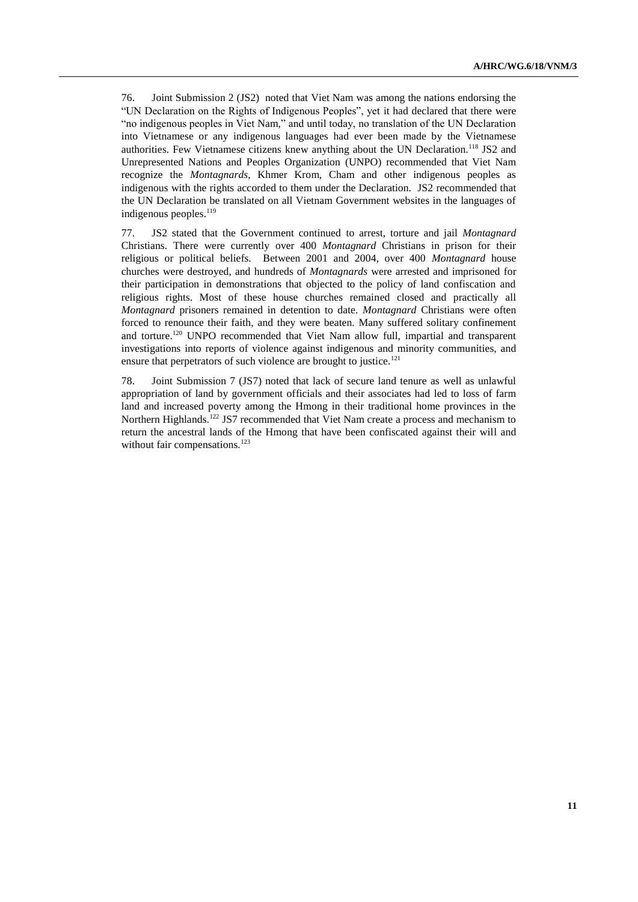76. Joint Submission 2 (JS2) noted that Viet Nam was among the nations endorsing the "UN Declaration on the Rights of Indigenous Peoples", yet it had declared that there were "no indigenous peoples in Viet Nam," and until today, no translation of the UN Declaration into Vietnamese or any indigenous languages had ever been made by the Vietnamese authorities. Few Vietnamese citizens knew anything about the UN Declaration.<sup>118</sup> JS2 and Unrepresented Nations and Peoples Organization (UNPO) recommended that Viet Nam recognize the *Montagnards*, Khmer Krom, Cham and other indigenous peoples as indigenous with the rights accorded to them under the Declaration. JS2 recommended that the UN Declaration be translated on all Vietnam Government websites in the languages of indigenous peoples. $119$ 

77. JS2 stated that the Government continued to arrest, torture and jail *Montagnard* Christians. There were currently over 400 *Montagnard* Christians in prison for their religious or political beliefs. Between 2001 and 2004, over 400 *Montagnard* house churches were destroyed, and hundreds of *Montagnards* were arrested and imprisoned for their participation in demonstrations that objected to the policy of land confiscation and religious rights. Most of these house churches remained closed and practically all *Montagnard* prisoners remained in detention to date. *Montagnard* Christians were often forced to renounce their faith, and they were beaten. Many suffered solitary confinement and torture.<sup>120</sup> UNPO recommended that Viet Nam allow full, impartial and transparent investigations into reports of violence against indigenous and minority communities, and ensure that perpetrators of such violence are brought to justice.<sup>121</sup>

78. Joint Submission 7 (JS7) noted that lack of secure land tenure as well as unlawful appropriation of land by government officials and their associates had led to loss of farm land and increased poverty among the Hmong in their traditional home provinces in the Northern Highlands.<sup>122</sup> JS7 recommended that Viet Nam create a process and mechanism to return the ancestral lands of the Hmong that have been confiscated against their will and without fair compensations.<sup>123</sup>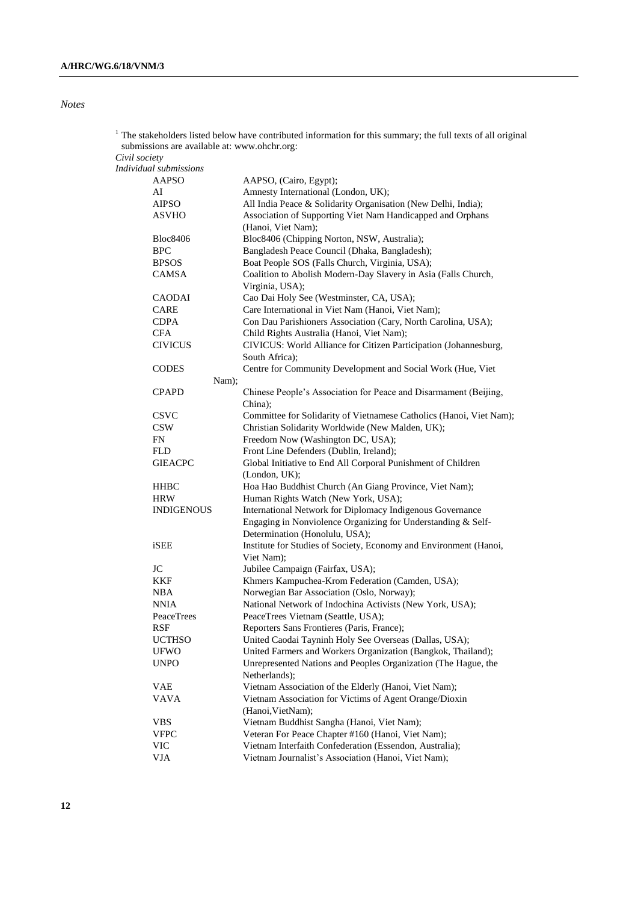*Notes*

| 1             | submissions are available at: www.ohchr.org: |       | The stakeholders listed below have contributed information for this summary; the full texts of all original               |
|---------------|----------------------------------------------|-------|---------------------------------------------------------------------------------------------------------------------------|
| Civil society |                                              |       |                                                                                                                           |
|               | Individual submissions                       |       |                                                                                                                           |
|               | <b>AAPSO</b>                                 |       |                                                                                                                           |
|               |                                              |       | AAPSO, (Cairo, Egypt);                                                                                                    |
|               | AI                                           |       | Amnesty International (London, UK);                                                                                       |
|               | <b>AIPSO</b>                                 |       | All India Peace & Solidarity Organisation (New Delhi, India);                                                             |
|               | <b>ASVHO</b>                                 |       | Association of Supporting Viet Nam Handicapped and Orphans<br>(Hanoi, Viet Nam);                                          |
|               | <b>Bloc8406</b>                              |       | Bloc8406 (Chipping Norton, NSW, Australia);                                                                               |
|               | <b>BPC</b>                                   |       | Bangladesh Peace Council (Dhaka, Bangladesh);                                                                             |
|               | <b>BPSOS</b>                                 |       | Boat People SOS (Falls Church, Virginia, USA);                                                                            |
|               | CAMSA                                        |       | Coalition to Abolish Modern-Day Slavery in Asia (Falls Church,                                                            |
|               |                                              |       | Virginia, USA);                                                                                                           |
|               | <b>CAODAI</b>                                |       | Cao Dai Holy See (Westminster, CA, USA);                                                                                  |
|               | <b>CARE</b>                                  |       | Care International in Viet Nam (Hanoi, Viet Nam);                                                                         |
|               | <b>CDPA</b>                                  |       | Con Dau Parishioners Association (Cary, North Carolina, USA);                                                             |
|               | ${\rm CFA}$                                  |       | Child Rights Australia (Hanoi, Viet Nam);                                                                                 |
|               | <b>CIVICUS</b>                               |       | CIVICUS: World Alliance for Citizen Participation (Johannesburg,                                                          |
|               |                                              |       | South Africa);                                                                                                            |
|               |                                              |       |                                                                                                                           |
|               | <b>CODES</b>                                 |       | Centre for Community Development and Social Work (Hue, Viet                                                               |
|               |                                              | Nam); |                                                                                                                           |
|               | <b>CPAPD</b>                                 |       | Chinese People's Association for Peace and Disarmament (Beijing,<br>China);                                               |
|               | <b>CSVC</b>                                  |       | Committee for Solidarity of Vietnamese Catholics (Hanoi, Viet Nam);                                                       |
|               | <b>CSW</b>                                   |       | Christian Solidarity Worldwide (New Malden, UK);                                                                          |
|               | FN                                           |       | Freedom Now (Washington DC, USA);                                                                                         |
|               | <b>FLD</b>                                   |       | Front Line Defenders (Dublin, Ireland);                                                                                   |
|               |                                              |       |                                                                                                                           |
|               | <b>GIEACPC</b>                               |       | Global Initiative to End All Corporal Punishment of Children<br>(London, UK);                                             |
|               | <b>HHBC</b>                                  |       | Hoa Hao Buddhist Church (An Giang Province, Viet Nam);                                                                    |
|               | <b>HRW</b>                                   |       | Human Rights Watch (New York, USA);                                                                                       |
|               | <b>INDIGENOUS</b>                            |       | International Network for Diplomacy Indigenous Governance<br>Engaging in Nonviolence Organizing for Understanding & Self- |
|               |                                              |       | Determination (Honolulu, USA);                                                                                            |
|               | iSEE                                         |       | Institute for Studies of Society, Economy and Environment (Hanoi,<br>Viet Nam);                                           |
|               | <b>JC</b>                                    |       | Jubilee Campaign (Fairfax, USA);                                                                                          |
|               | <b>KKF</b>                                   |       | Khmers Kampuchea-Krom Federation (Camden, USA);                                                                           |
|               | <b>NBA</b>                                   |       | Norwegian Bar Association (Oslo, Norway);                                                                                 |
|               | <b>NNIA</b>                                  |       | National Network of Indochina Activists (New York, USA);                                                                  |
|               | PeaceTrees                                   |       | PeaceTrees Vietnam (Seattle, USA);                                                                                        |
|               |                                              |       |                                                                                                                           |
|               | RSF                                          |       | Reporters Sans Frontieres (Paris, France);                                                                                |
|               | <b>UCTHSO</b>                                |       | United Caodai Tayninh Holy See Overseas (Dallas, USA);                                                                    |
|               | <b>UFWO</b>                                  |       | United Farmers and Workers Organization (Bangkok, Thailand);                                                              |
|               | <b>UNPO</b>                                  |       | Unrepresented Nations and Peoples Organization (The Hague, the<br>Netherlands);                                           |
|               | <b>VAE</b>                                   |       | Vietnam Association of the Elderly (Hanoi, Viet Nam);                                                                     |
|               | <b>VAVA</b>                                  |       | Vietnam Association for Victims of Agent Orange/Dioxin<br>(Hanoi, VietNam);                                               |
|               |                                              |       |                                                                                                                           |
|               | <b>VBS</b>                                   |       | Vietnam Buddhist Sangha (Hanoi, Viet Nam);                                                                                |
|               | <b>VFPC</b>                                  |       | Veteran For Peace Chapter #160 (Hanoi, Viet Nam);                                                                         |
|               | VIC                                          |       | Vietnam Interfaith Confederation (Essendon, Australia);                                                                   |
|               | <b>VJA</b>                                   |       | Vietnam Journalist's Association (Hanoi, Viet Nam);                                                                       |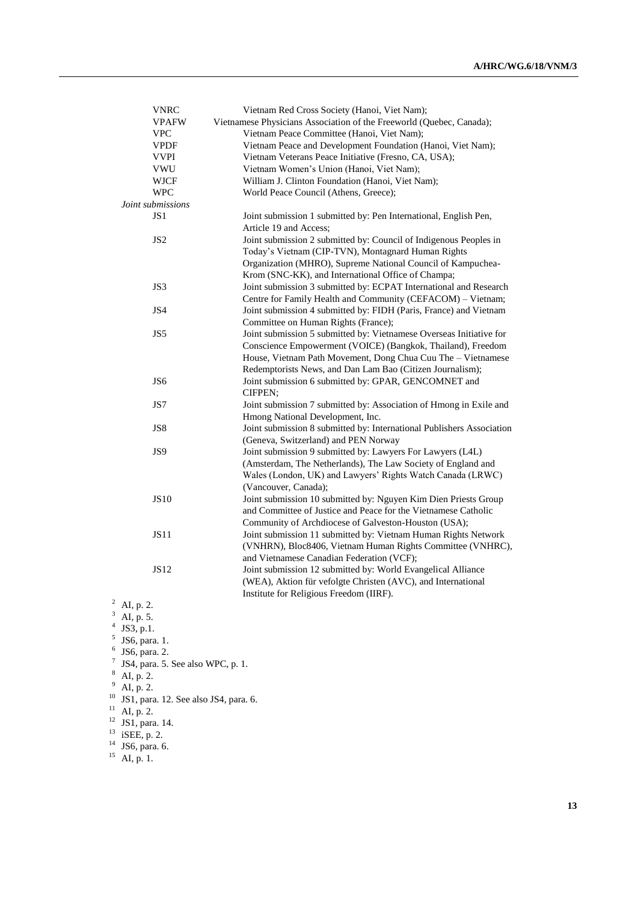| <b>VNRC</b>                       | Vietnam Red Cross Society (Hanoi, Viet Nam);                          |
|-----------------------------------|-----------------------------------------------------------------------|
| <b>VPAFW</b>                      | Vietnamese Physicians Association of the Freeworld (Quebec, Canada);  |
| <b>VPC</b>                        | Vietnam Peace Committee (Hanoi, Viet Nam);                            |
| <b>VPDF</b>                       | Vietnam Peace and Development Foundation (Hanoi, Viet Nam);           |
| <b>VVPI</b>                       | Vietnam Veterans Peace Initiative (Fresno, CA, USA);                  |
| VWU                               | Vietnam Women's Union (Hanoi, Viet Nam);                              |
| <b>WJCF</b>                       | William J. Clinton Foundation (Hanoi, Viet Nam);                      |
| <b>WPC</b>                        | World Peace Council (Athens, Greece);                                 |
| Joint submissions                 |                                                                       |
| JS1                               | Joint submission 1 submitted by: Pen International, English Pen,      |
|                                   | Article 19 and Access;                                                |
| JS <sub>2</sub>                   | Joint submission 2 submitted by: Council of Indigenous Peoples in     |
|                                   | Today's Vietnam (CIP-TVN), Montagnard Human Rights                    |
|                                   | Organization (MHRO), Supreme National Council of Kampuchea-           |
|                                   | Krom (SNC-KK), and International Office of Champa;                    |
| JS3                               | Joint submission 3 submitted by: ECPAT International and Research     |
|                                   | Centre for Family Health and Community (CEFACOM) - Vietnam;           |
| JS4                               | Joint submission 4 submitted by: FIDH (Paris, France) and Vietnam     |
|                                   | Committee on Human Rights (France);                                   |
| JS5                               | Joint submission 5 submitted by: Vietnamese Overseas Initiative for   |
|                                   | Conscience Empowerment (VOICE) (Bangkok, Thailand), Freedom           |
|                                   | House, Vietnam Path Movement, Dong Chua Cuu The - Vietnamese          |
|                                   | Redemptorists News, and Dan Lam Bao (Citizen Journalism);             |
| JS6                               | Joint submission 6 submitted by: GPAR, GENCOMNET and                  |
|                                   | CIFPEN;                                                               |
| JS7                               | Joint submission 7 submitted by: Association of Hmong in Exile and    |
|                                   | Hmong National Development, Inc.                                      |
| JS8                               | Joint submission 8 submitted by: International Publishers Association |
|                                   | (Geneva, Switzerland) and PEN Norway                                  |
| JS9                               | Joint submission 9 submitted by: Lawyers For Lawyers (L4L)            |
|                                   | (Amsterdam, The Netherlands), The Law Society of England and          |
|                                   | Wales (London, UK) and Lawyers' Rights Watch Canada (LRWC)            |
|                                   | (Vancouver, Canada);                                                  |
| <b>JS10</b>                       | Joint submission 10 submitted by: Nguyen Kim Dien Priests Group       |
|                                   | and Committee of Justice and Peace for the Vietnamese Catholic        |
|                                   | Community of Archdiocese of Galveston-Houston (USA);                  |
| <b>JS11</b>                       | Joint submission 11 submitted by: Vietnam Human Rights Network        |
|                                   | (VNHRN), Bloc8406, Vietnam Human Rights Committee (VNHRC),            |
|                                   | and Vietnamese Canadian Federation (VCF);                             |
| <b>JS12</b>                       | Joint submission 12 submitted by: World Evangelical Alliance          |
|                                   | (WEA), Aktion für vefolgte Christen (AVC), and International          |
|                                   | Institute for Religious Freedom (IIRF).                               |
| <sup>2</sup> AI, p. 2.            |                                                                       |
| 3<br>AI, p. 5.                    |                                                                       |
| 4<br>JS3, p.1.                    |                                                                       |
| 5<br>JS6, para. 1.                |                                                                       |
| 6<br>JS6, para. 2.                |                                                                       |
| JS4, para. 5. See also WPC, p. 1. |                                                                       |

 $^8$  AI, p. 2.

 $9$  AI, p. 2.

 $10$  JS1, para. 12. See also JS4, para. 6.

 $11$  AI, p. 2.

 $12$  JS1, para. 14.

 $13$  iSEE, p. 2.

 $14$  JS6, para. 6.

 $^{15}$  AI, p. 1.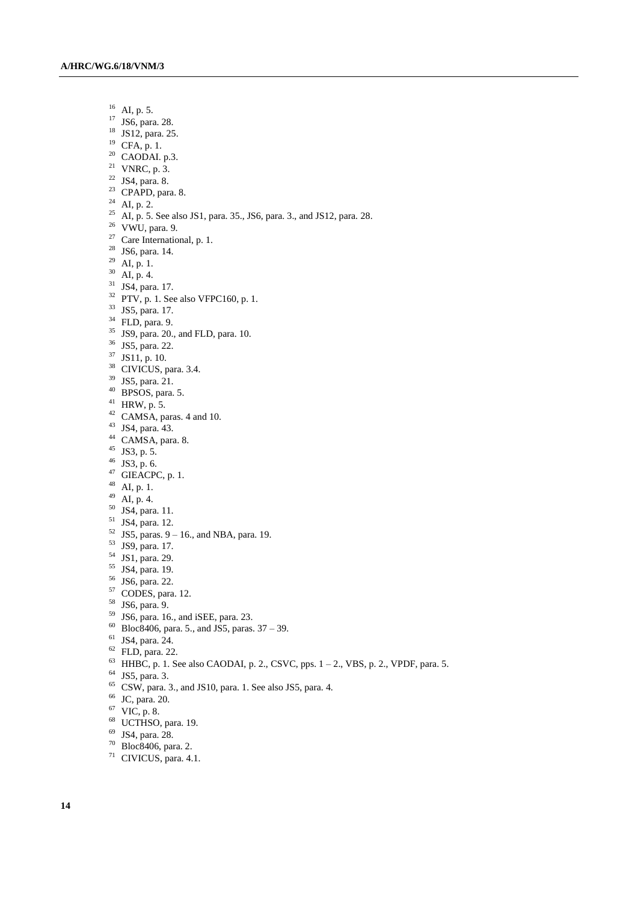- AI, p. 5.
- JS6, para. 28.
- JS12, para. 25.
- CFA, p. 1.
- CAODAI. p.3.
- <sup>21</sup> VNRC, p. 3.
- JS4, para. 8.
- CPAPD, para. 8.
- <sup>24</sup> AI, p. 2.
- <sup>25</sup> AI, p. 5. See also JS1, para. 35., JS6, para. 3., and JS12, para. 28.
- VWU, para. 9.
- <sup>27</sup> Care International, p. 1.
- JS6, para. 14.
- $^{29}\,$  AI, p. 1.
- AI, p. 4.
- JS4, para. 17.
- PTV, p. 1. See also VFPC160, p. 1.
- JS5, para. 17.
- FLD, para. 9.
- JS9, para. 20., and FLD, para. 10.
- JS5, para. 22.
- JS11, p. 10.
- <sup>38</sup> CIVICUS, para. 3.4.
- JS5, para. 21.
- BPSOS, para. 5.
- HRW, p. 5.
- CAMSA, paras. 4 and 10.
- JS4, para. 43.
- <sup>44</sup> CAMSA, para. 8.
- $45 \text{ JS3}, p. 5.$
- JS3, p. 6.
- GIEACPC, p. 1.
- AI, p. 1.
- $^{49}$  AI, p. 4.
- JS4, para. 11.
- JS4, para. 12.
- 
- JS5, paras. 9 16., and NBA, para. 19.
- JS9, para. 17.
- JS1, para. 29.
- JS4, para. 19.
- JS6, para. 22.
- CODES, para. 12.
- JS6, para. 9.
- JS6, para. 16., and iSEE, para. 23.
- Bloc8406, para. 5., and JS5, paras. 37 39.
- JS4, para. 24.
- FLD, para. 22.
- HHBC, p. 1. See also CAODAI, p. 2., CSVC, pps.  $1 2$ ., VBS, p. 2., VPDF, para. 5.
- JS5, para. 3.
- CSW, para. 3., and JS10, para. 1. See also JS5, para. 4.
- JC, para. 20.
- VIC, p. 8.
- <sup>68</sup> UCTHSO, para. 19.
- JS4, para. 28.
- Bloc8406, para. 2.
- CIVICUS, para. 4.1.